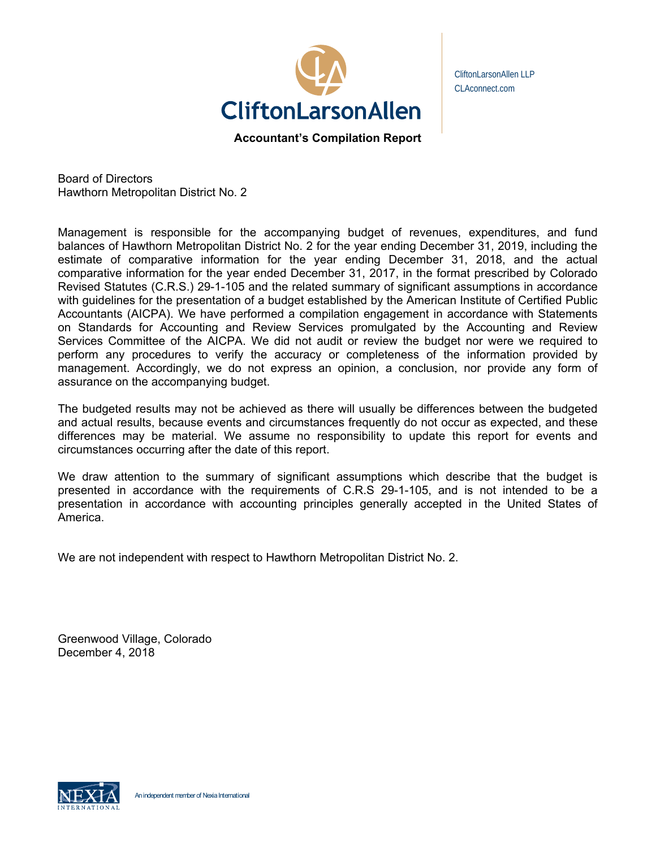

CliftonLarsonAllen LLP CLAconnect.com

**Accountant's Compilation Report** 

Board of Directors Hawthorn Metropolitan District No. 2

Management is responsible for the accompanying budget of revenues, expenditures, and fund balances of Hawthorn Metropolitan District No. 2 for the year ending December 31, 2019, including the estimate of comparative information for the year ending December 31, 2018, and the actual comparative information for the year ended December 31, 2017, in the format prescribed by Colorado Revised Statutes (C.R.S.) 29-1-105 and the related summary of significant assumptions in accordance with guidelines for the presentation of a budget established by the American Institute of Certified Public Accountants (AICPA). We have performed a compilation engagement in accordance with Statements on Standards for Accounting and Review Services promulgated by the Accounting and Review Services Committee of the AICPA. We did not audit or review the budget nor were we required to perform any procedures to verify the accuracy or completeness of the information provided by management. Accordingly, we do not express an opinion, a conclusion, nor provide any form of assurance on the accompanying budget.

The budgeted results may not be achieved as there will usually be differences between the budgeted and actual results, because events and circumstances frequently do not occur as expected, and these differences may be material. We assume no responsibility to update this report for events and circumstances occurring after the date of this report.

We draw attention to the summary of significant assumptions which describe that the budget is presented in accordance with the requirements of C.R.S 29-1-105, and is not intended to be a presentation in accordance with accounting principles generally accepted in the United States of America.

We are not independent with respect to Hawthorn Metropolitan District No. 2.

Greenwood Village, Colorado December 4, 2018

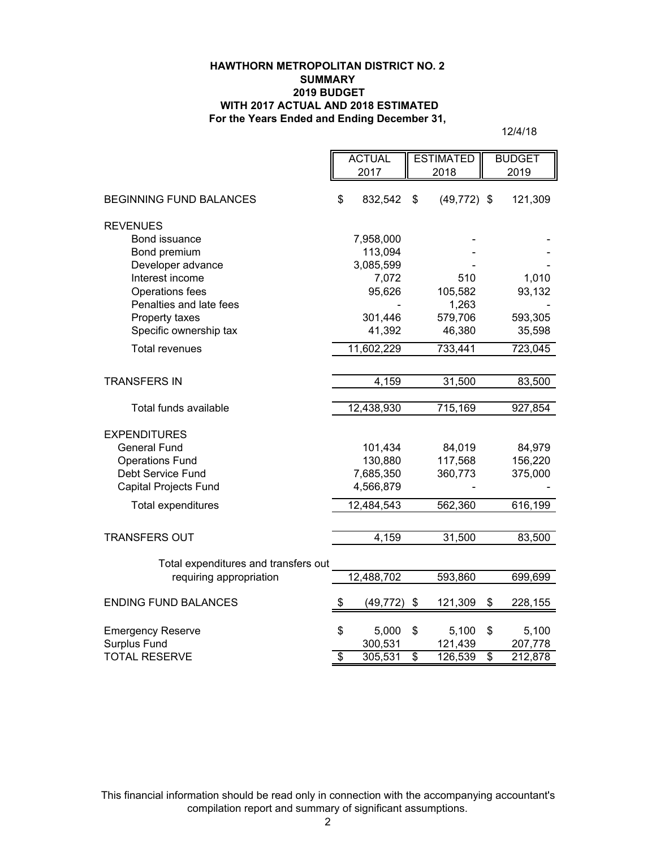### **HAWTHORN METROPOLITAN DISTRICT NO. 2 SUMMARY 2019 BUDGET WITH 2017 ACTUAL AND 2018 ESTIMATED For the Years Ended and Ending December 31,**

12/4/18

|                                      | <b>ACTUAL</b>            |            | <b>ESTIMATED</b>         |                | <b>BUDGET</b>            |         |
|--------------------------------------|--------------------------|------------|--------------------------|----------------|--------------------------|---------|
|                                      |                          | 2017       |                          | 2018           |                          | 2019    |
|                                      |                          |            |                          |                |                          |         |
| <b>BEGINNING FUND BALANCES</b>       | \$                       | 832,542    | \$                       | $(49, 772)$ \$ |                          | 121,309 |
| <b>REVENUES</b>                      |                          |            |                          |                |                          |         |
| Bond issuance                        |                          | 7,958,000  |                          |                |                          |         |
| Bond premium                         |                          | 113,094    |                          |                |                          |         |
| Developer advance                    |                          | 3,085,599  |                          |                |                          |         |
| Interest income                      |                          | 7,072      |                          | 510            |                          | 1,010   |
| Operations fees                      |                          | 95,626     |                          | 105,582        |                          | 93,132  |
| Penalties and late fees              |                          |            |                          | 1,263          |                          |         |
| Property taxes                       |                          | 301,446    |                          | 579,706        |                          | 593,305 |
| Specific ownership tax               |                          | 41,392     |                          | 46,380         |                          | 35,598  |
| <b>Total revenues</b>                |                          | 11,602,229 |                          | 733,441        |                          | 723,045 |
|                                      |                          |            |                          |                |                          |         |
| <b>TRANSFERS IN</b>                  |                          | 4,159      |                          | 31,500         |                          | 83,500  |
|                                      |                          |            |                          |                |                          |         |
| Total funds available                |                          | 12,438,930 |                          | 715,169        |                          | 927,854 |
| <b>EXPENDITURES</b>                  |                          |            |                          |                |                          |         |
| <b>General Fund</b>                  |                          | 101,434    |                          | 84,019         |                          | 84,979  |
| <b>Operations Fund</b>               |                          | 130,880    |                          | 117,568        |                          | 156,220 |
| Debt Service Fund                    |                          | 7,685,350  |                          | 360,773        |                          | 375,000 |
| <b>Capital Projects Fund</b>         |                          | 4,566,879  |                          |                |                          |         |
| Total expenditures                   |                          | 12,484,543 |                          | 562,360        |                          | 616,199 |
|                                      |                          |            |                          |                |                          |         |
| <b>TRANSFERS OUT</b>                 |                          | 4,159      |                          | 31,500         |                          | 83,500  |
|                                      |                          |            |                          |                |                          |         |
| Total expenditures and transfers out |                          |            |                          |                |                          |         |
| requiring appropriation              |                          | 12,488,702 |                          | 593,860        |                          | 699,699 |
| <b>ENDING FUND BALANCES</b>          | \$                       | (49, 772)  | \$                       | 121,309        | \$                       | 228,155 |
|                                      |                          |            |                          |                |                          |         |
| <b>Emergency Reserve</b>             | \$                       | 5,000      | \$                       | 5,100          | \$                       | 5,100   |
| Surplus Fund                         |                          | 300,531    |                          | 121,439        |                          | 207,778 |
| <b>TOTAL RESERVE</b>                 | $\overline{\mathcal{E}}$ | 305,531    | $\overline{\mathcal{S}}$ | 126,539        | $\overline{\mathcal{S}}$ | 212,878 |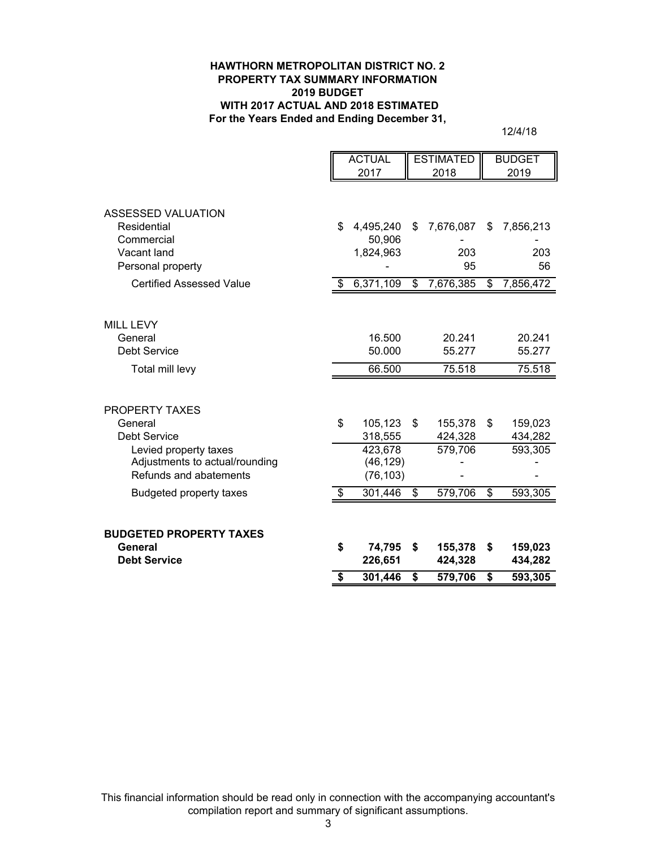#### **HAWTHORN METROPOLITAN DISTRICT NO. 2 PROPERTY TAX SUMMARY INFORMATION 2019 BUDGET WITH 2017 ACTUAL AND 2018 ESTIMATED For the Years Ended and Ending December 31,**

12/4/18

|                                                                                   |                         | <b>ACTUAL</b>                     |    | <b>ESTIMATED</b>   |                          | <b>BUDGET</b>      |  |
|-----------------------------------------------------------------------------------|-------------------------|-----------------------------------|----|--------------------|--------------------------|--------------------|--|
|                                                                                   |                         | 2017<br>2018                      |    |                    | 2019                     |                    |  |
| ASSESSED VALUATION                                                                |                         |                                   |    |                    |                          |                    |  |
| Residential<br>Commercial                                                         | \$                      | 4,495,240<br>50,906               | S  | 7,676,087          | \$.                      | 7,856,213          |  |
| Vacant land<br>Personal property                                                  |                         | 1,824,963                         |    | 203<br>95          |                          | 203<br>56          |  |
| <b>Certified Assessed Value</b>                                                   | \$                      | 6,371,109                         | \$ | 7,676,385          | \$                       | 7,856,472          |  |
| <b>MILL LEVY</b><br>General                                                       |                         | 16.500                            |    | 20.241             |                          | 20.241             |  |
| <b>Debt Service</b>                                                               |                         | 50.000                            |    | 55.277             |                          | 55.277             |  |
| Total mill levy                                                                   |                         | 66.500                            |    | 75.518             |                          | 75.518             |  |
| <b>PROPERTY TAXES</b>                                                             |                         |                                   |    |                    |                          |                    |  |
| General<br><b>Debt Service</b>                                                    | \$                      | 105,123<br>318,555                | \$ | 155,378<br>424,328 | \$                       | 159,023<br>434,282 |  |
| Levied property taxes<br>Adjustments to actual/rounding<br>Refunds and abatements |                         | 423,678<br>(46, 129)<br>(76, 103) |    | 579,706            |                          | 593,305            |  |
| <b>Budgeted property taxes</b>                                                    | \$                      | 301,446                           | \$ | 579,706            | $\overline{\mathcal{E}}$ | 593,305            |  |
| <b>BUDGETED PROPERTY TAXES</b>                                                    |                         |                                   |    |                    |                          |                    |  |
| General<br><b>Debt Service</b>                                                    | \$                      | 74,795<br>226,651                 | \$ | 155,378<br>424,328 | \$                       | 159,023<br>434,282 |  |
|                                                                                   | $\overline{\mathbf{s}}$ | 301,446                           | \$ | 579,706            | $\overline{\mathbf{s}}$  | 593,305            |  |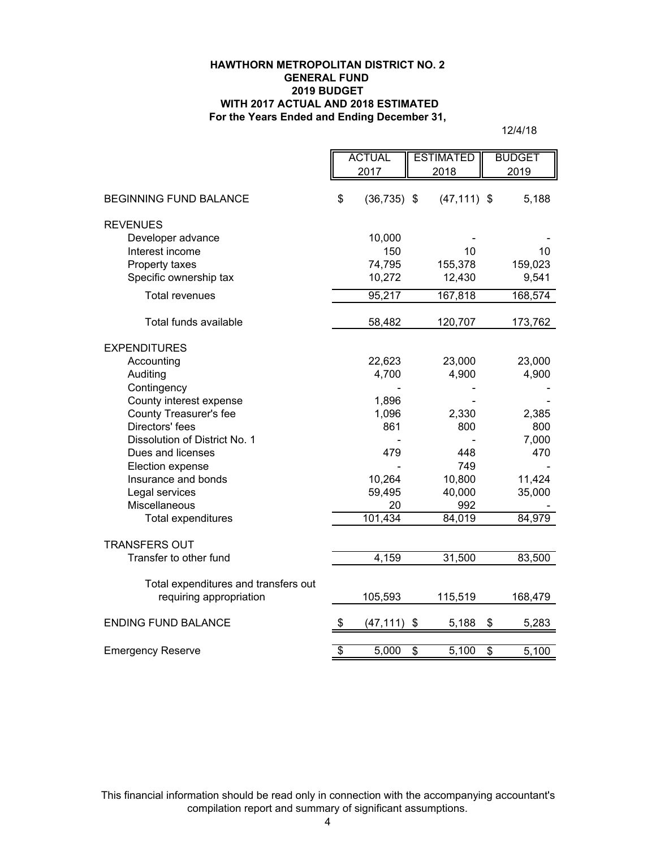### **For the Years Ended and Ending December 31, HAWTHORN METROPOLITAN DISTRICT NO. 2 GENERAL FUND 2019 BUDGET WITH 2017 ACTUAL AND 2018 ESTIMATED**

12/4/18

|                                      | <b>ACTUAL</b>            |                | <b>ESTIMATED</b> |                | <b>BUDGET</b> |         |
|--------------------------------------|--------------------------|----------------|------------------|----------------|---------------|---------|
|                                      |                          | 2017           |                  | 2018           |               | 2019    |
|                                      |                          |                |                  |                |               |         |
| <b>BEGINNING FUND BALANCE</b>        | \$                       | $(36, 735)$ \$ |                  | $(47, 111)$ \$ |               | 5,188   |
| <b>REVENUES</b>                      |                          |                |                  |                |               |         |
| Developer advance                    |                          | 10,000         |                  |                |               |         |
| Interest income                      |                          | 150            |                  | 10             |               | 10      |
| Property taxes                       |                          | 74,795         |                  | 155,378        |               | 159,023 |
| Specific ownership tax               |                          | 10,272         |                  | 12,430         |               | 9,541   |
| <b>Total revenues</b>                |                          | 95,217         |                  | 167,818        |               | 168,574 |
|                                      |                          |                |                  |                |               |         |
| Total funds available                |                          | 58,482         |                  | 120,707        |               | 173,762 |
| <b>EXPENDITURES</b>                  |                          |                |                  |                |               |         |
| Accounting                           |                          | 22,623         |                  | 23,000         |               | 23,000  |
| Auditing                             |                          | 4,700          |                  | 4,900          |               | 4,900   |
| Contingency                          |                          |                |                  |                |               |         |
| County interest expense              |                          | 1,896          |                  |                |               |         |
| County Treasurer's fee               |                          | 1,096          |                  | 2,330          |               | 2,385   |
| Directors' fees                      |                          | 861            |                  | 800            |               | 800     |
| Dissolution of District No. 1        |                          |                |                  |                |               | 7,000   |
| Dues and licenses                    |                          | 479            |                  | 448            |               | 470     |
| Election expense                     |                          |                |                  | 749            |               |         |
| Insurance and bonds                  |                          | 10,264         |                  | 10,800         |               | 11,424  |
| Legal services                       |                          | 59,495         |                  | 40,000         |               | 35,000  |
| Miscellaneous                        |                          | 20             |                  | 992            |               |         |
| Total expenditures                   |                          | 101,434        |                  | 84,019         |               | 84,979  |
| <b>TRANSFERS OUT</b>                 |                          |                |                  |                |               |         |
| Transfer to other fund               |                          | 4,159          |                  | 31,500         |               | 83,500  |
|                                      |                          |                |                  |                |               |         |
| Total expenditures and transfers out |                          |                |                  |                |               |         |
| requiring appropriation              |                          | 105,593        |                  | 115,519        |               | 168,479 |
| <b>ENDING FUND BALANCE</b>           | $\frac{1}{2}$            | (47, 111)      | \$               | 5,188          | \$            | 5,283   |
|                                      |                          |                |                  |                |               |         |
| <b>Emergency Reserve</b>             | $\overline{\mathcal{E}}$ | 5,000          | \$               | 5,100          | \$            | 5,100   |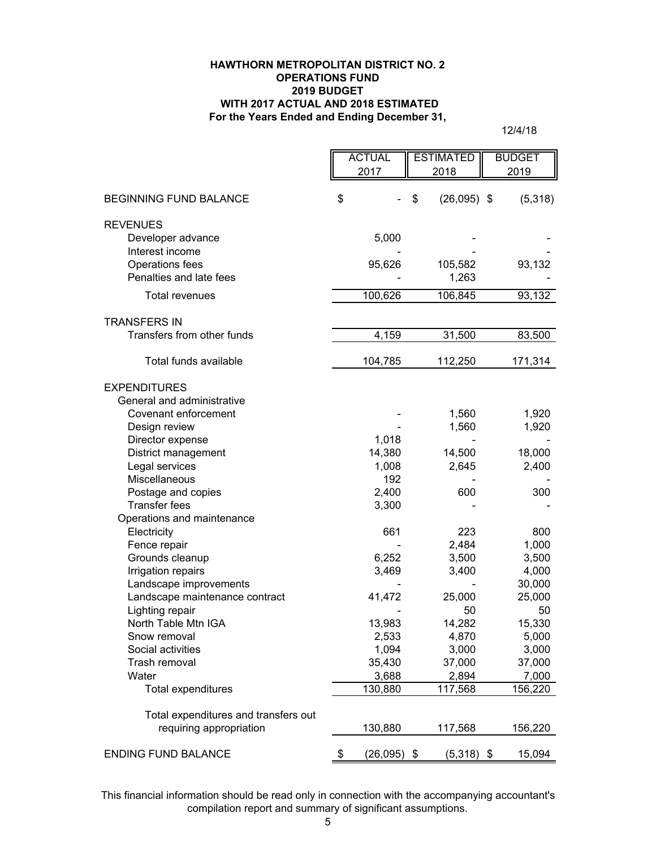### **HAWTHORN METROPOLITAN DISTRICT NO. 2 OPERATIONS FUND 2019 BUDGET WITH 2017 ACTUAL AND 2018 ESTIMATED For the Years Ended and Ending December 31,**

12/4/18

|                                        | <b>ACTUAL</b><br>2017 | <b>ESTIMATED</b><br>2018 | <b>BUDGET</b><br>2019 |
|----------------------------------------|-----------------------|--------------------------|-----------------------|
| <b>BEGINNING FUND BALANCE</b>          | \$                    | \$<br>$(26,095)$ \$      | (5,318)               |
|                                        |                       |                          |                       |
| <b>REVENUES</b><br>Developer advance   | 5,000                 |                          |                       |
| Interest income                        |                       |                          |                       |
| Operations fees                        | 95,626                | 105,582                  | 93,132                |
| Penalties and late fees                |                       | 1,263                    |                       |
| <b>Total revenues</b>                  | 100,626               | 106,845                  | 93,132                |
| <b>TRANSFERS IN</b>                    |                       |                          |                       |
| Transfers from other funds             | 4,159                 | 31,500                   | 83,500                |
| Total funds available                  | 104,785               | 112,250                  | 171,314               |
| <b>EXPENDITURES</b>                    |                       |                          |                       |
| General and administrative             |                       |                          |                       |
| Covenant enforcement                   |                       | 1,560                    | 1,920                 |
| Design review                          |                       | 1,560                    | 1,920                 |
| Director expense                       | 1,018                 |                          |                       |
| District management<br>Legal services  | 14,380<br>1,008       | 14,500<br>2,645          | 18,000<br>2,400       |
| Miscellaneous                          | 192                   |                          |                       |
| Postage and copies                     | 2,400                 | 600                      | 300                   |
| <b>Transfer fees</b>                   | 3,300                 |                          |                       |
| Operations and maintenance             |                       |                          |                       |
| Electricity                            | 661                   | 223                      | 800                   |
| Fence repair                           |                       | 2,484                    | 1,000                 |
| Grounds cleanup                        | 6,252                 | 3,500                    | 3,500                 |
| Irrigation repairs                     | 3,469                 | 3,400                    | 4,000                 |
| Landscape improvements                 |                       |                          | 30,000                |
| Landscape maintenance contract         | 41,472                | 25,000                   | 25,000                |
| Lighting repair<br>North Table Mtn IGA |                       | 50                       | 50<br>15,330          |
| Snow removal                           | 13,983<br>2,533       | 14,282<br>4,870          | 5,000                 |
| Social activities                      | 1,094                 | 3,000                    | 3,000                 |
| Trash removal                          | 35,430                | 37,000                   | 37,000                |
| Water                                  | 3,688                 | 2,894                    | 7,000                 |
| <b>Total expenditures</b>              | 130,880               | 117,568                  | 156,220               |
| Total expenditures and transfers out   |                       |                          |                       |
| requiring appropriation                | 130,880               | 117,568                  | 156,220               |
| <b>ENDING FUND BALANCE</b>             | \$<br>$(26,095)$ \$   | $(5,318)$ \$             | 15,094                |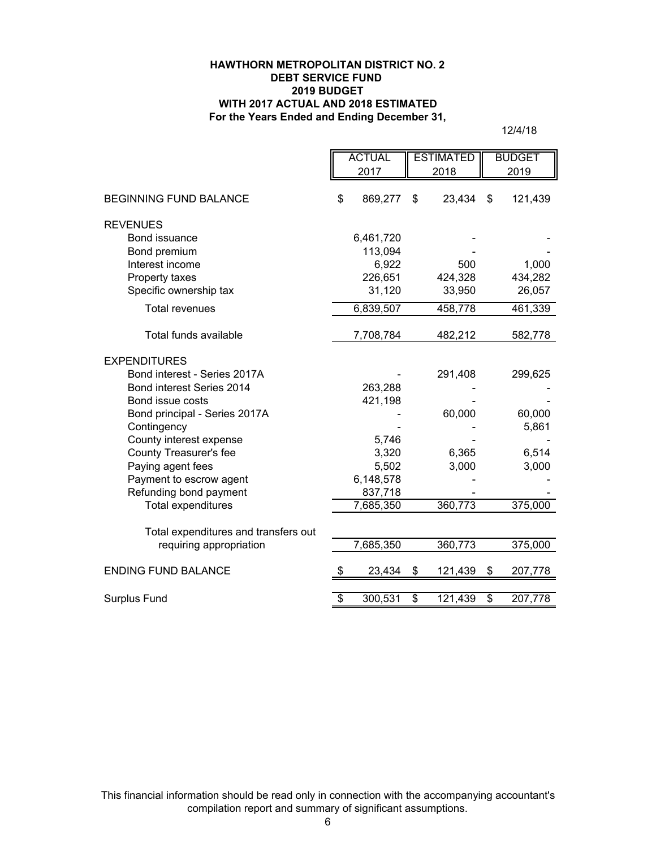### **HAWTHORN METROPOLITAN DISTRICT NO. 2 DEBT SERVICE FUND 2019 BUDGET WITH 2017 ACTUAL AND 2018 ESTIMATED For the Years Ended and Ending December 31,**

12/4/18

|                                      | <b>ACTUAL</b> |           | <b>ESTIMATED</b> |         | <b>BUDGET</b>                    |         |
|--------------------------------------|---------------|-----------|------------------|---------|----------------------------------|---------|
|                                      | 2017          |           | 2018             |         |                                  | 2019    |
| <b>BEGINNING FUND BALANCE</b>        | \$            | 869,277   | \$               | 23,434  | $\boldsymbol{\mathsf{s}}$        | 121,439 |
| <b>REVENUES</b>                      |               |           |                  |         |                                  |         |
| Bond issuance                        |               | 6,461,720 |                  |         |                                  |         |
| Bond premium                         |               | 113,094   |                  |         |                                  |         |
| Interest income                      |               | 6,922     |                  | 500     |                                  | 1,000   |
| Property taxes                       |               | 226,651   |                  | 424,328 |                                  | 434,282 |
| Specific ownership tax               |               | 31,120    |                  | 33,950  |                                  | 26,057  |
| <b>Total revenues</b>                |               | 6,839,507 |                  | 458,778 |                                  | 461,339 |
| Total funds available                |               | 7,708,784 |                  | 482,212 |                                  | 582,778 |
| <b>EXPENDITURES</b>                  |               |           |                  |         |                                  |         |
| Bond interest - Series 2017A         |               |           |                  | 291,408 |                                  | 299,625 |
| Bond interest Series 2014            |               | 263,288   |                  |         |                                  |         |
| Bond issue costs                     |               | 421,198   |                  |         |                                  |         |
| Bond principal - Series 2017A        |               |           |                  | 60,000  |                                  | 60,000  |
| Contingency                          |               |           |                  |         |                                  | 5,861   |
| County interest expense              |               | 5,746     |                  |         |                                  |         |
| County Treasurer's fee               |               | 3,320     |                  | 6,365   |                                  | 6,514   |
| Paying agent fees                    |               | 5,502     |                  | 3,000   |                                  | 3,000   |
| Payment to escrow agent              |               | 6,148,578 |                  |         |                                  |         |
| Refunding bond payment               |               | 837,718   |                  |         |                                  |         |
| <b>Total expenditures</b>            |               | 7,685,350 |                  | 360,773 |                                  | 375,000 |
| Total expenditures and transfers out |               |           |                  |         |                                  |         |
| requiring appropriation              |               | 7,685,350 |                  | 360,773 |                                  | 375,000 |
| <b>ENDING FUND BALANCE</b>           | S             | 23,434    | \$               | 121,439 | \$                               | 207,778 |
| Surplus Fund                         | \$            | 300,531   | \$               | 121,439 | $\overline{\boldsymbol{\theta}}$ | 207,778 |
|                                      |               |           |                  |         |                                  |         |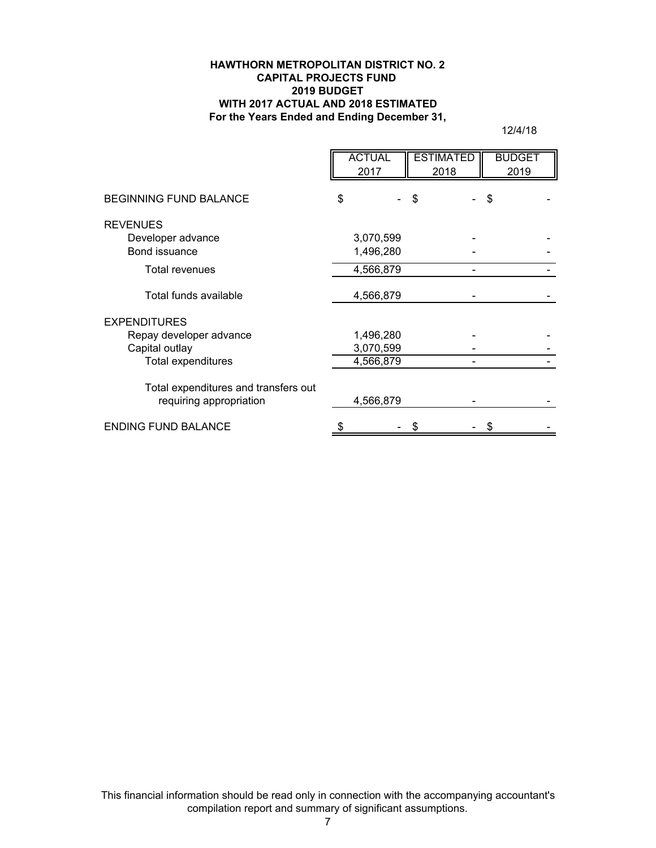### **HAWTHORN METROPOLITAN DISTRICT NO. 2 CAPITAL PROJECTS FUND 2019 BUDGET WITH 2017 ACTUAL AND 2018 ESTIMATED For the Years Ended and Ending December 31,**

12/4/18

|                                                                  | <b>ACTUAL</b><br>2017  |   | <b>ESTIMATED</b><br>2018 | <b>BUDGET</b><br>2019 |
|------------------------------------------------------------------|------------------------|---|--------------------------|-----------------------|
| <b>BEGINNING FUND BALANCE</b>                                    | \$                     | S |                          | \$                    |
| <b>REVENUES</b><br>Developer advance<br>Bond issuance            | 3,070,599<br>1,496,280 |   |                          |                       |
| Total revenues                                                   | 4,566,879              |   |                          |                       |
| Total funds available                                            | 4,566,879              |   |                          |                       |
| <b>EXPENDITURES</b><br>Repay developer advance<br>Capital outlay | 1,496,280<br>3,070,599 |   |                          |                       |
| <b>Total expenditures</b>                                        | 4,566,879              |   |                          |                       |
| Total expenditures and transfers out<br>requiring appropriation  | 4,566,879              |   |                          |                       |
| <b>ENDING FUND BALANCE</b>                                       |                        |   |                          |                       |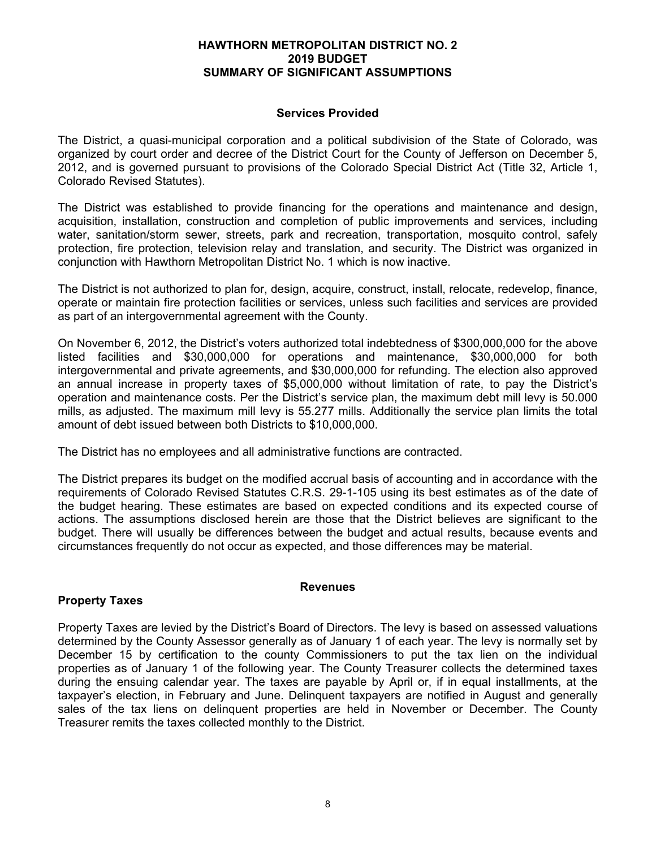### **HAWTHORN METROPOLITAN DISTRICT NO. 2 2019 BUDGET SUMMARY OF SIGNIFICANT ASSUMPTIONS**

## **Services Provided**

The District, a quasi-municipal corporation and a political subdivision of the State of Colorado, was organized by court order and decree of the District Court for the County of Jefferson on December 5, 2012, and is governed pursuant to provisions of the Colorado Special District Act (Title 32, Article 1, Colorado Revised Statutes).

The District was established to provide financing for the operations and maintenance and design, acquisition, installation, construction and completion of public improvements and services, including water, sanitation/storm sewer, streets, park and recreation, transportation, mosquito control, safely protection, fire protection, television relay and translation, and security. The District was organized in conjunction with Hawthorn Metropolitan District No. 1 which is now inactive.

The District is not authorized to plan for, design, acquire, construct, install, relocate, redevelop, finance, operate or maintain fire protection facilities or services, unless such facilities and services are provided as part of an intergovernmental agreement with the County.

On November 6, 2012, the District's voters authorized total indebtedness of \$300,000,000 for the above listed facilities and \$30,000,000 for operations and maintenance, \$30,000,000 for both intergovernmental and private agreements, and \$30,000,000 for refunding. The election also approved an annual increase in property taxes of \$5,000,000 without limitation of rate, to pay the District's operation and maintenance costs. Per the District's service plan, the maximum debt mill levy is 50.000 mills, as adjusted. The maximum mill levy is 55.277 mills. Additionally the service plan limits the total amount of debt issued between both Districts to \$10,000,000.

The District has no employees and all administrative functions are contracted.

The District prepares its budget on the modified accrual basis of accounting and in accordance with the requirements of Colorado Revised Statutes C.R.S. 29-1-105 using its best estimates as of the date of the budget hearing. These estimates are based on expected conditions and its expected course of actions. The assumptions disclosed herein are those that the District believes are significant to the budget. There will usually be differences between the budget and actual results, because events and circumstances frequently do not occur as expected, and those differences may be material.

### **Revenues**

# **Property Taxes**

Property Taxes are levied by the District's Board of Directors. The levy is based on assessed valuations determined by the County Assessor generally as of January 1 of each year. The levy is normally set by December 15 by certification to the county Commissioners to put the tax lien on the individual properties as of January 1 of the following year. The County Treasurer collects the determined taxes during the ensuing calendar year. The taxes are payable by April or, if in equal installments, at the taxpayer's election, in February and June. Delinquent taxpayers are notified in August and generally sales of the tax liens on delinquent properties are held in November or December. The County Treasurer remits the taxes collected monthly to the District.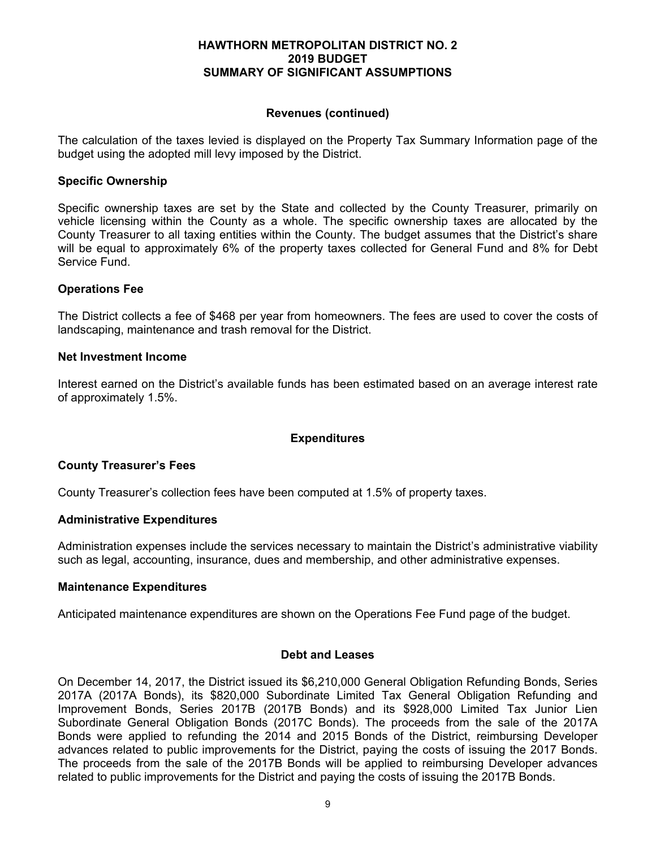### **HAWTHORN METROPOLITAN DISTRICT NO. 2 2019 BUDGET SUMMARY OF SIGNIFICANT ASSUMPTIONS**

### **Revenues (continued)**

The calculation of the taxes levied is displayed on the Property Tax Summary Information page of the budget using the adopted mill levy imposed by the District.

### **Specific Ownership**

Specific ownership taxes are set by the State and collected by the County Treasurer, primarily on vehicle licensing within the County as a whole. The specific ownership taxes are allocated by the County Treasurer to all taxing entities within the County. The budget assumes that the District's share will be equal to approximately 6% of the property taxes collected for General Fund and 8% for Debt Service Fund.

## **Operations Fee**

The District collects a fee of \$468 per year from homeowners. The fees are used to cover the costs of landscaping, maintenance and trash removal for the District.

## **Net Investment Income**

Interest earned on the District's available funds has been estimated based on an average interest rate of approximately 1.5%.

# **Expenditures**

### **County Treasurer's Fees**

County Treasurer's collection fees have been computed at 1.5% of property taxes.

### **Administrative Expenditures**

Administration expenses include the services necessary to maintain the District's administrative viability such as legal, accounting, insurance, dues and membership, and other administrative expenses.

### **Maintenance Expenditures**

Anticipated maintenance expenditures are shown on the Operations Fee Fund page of the budget.

### **Debt and Leases**

On December 14, 2017, the District issued its \$6,210,000 General Obligation Refunding Bonds, Series 2017A (2017A Bonds), its \$820,000 Subordinate Limited Tax General Obligation Refunding and Improvement Bonds, Series 2017B (2017B Bonds) and its \$928,000 Limited Tax Junior Lien Subordinate General Obligation Bonds (2017C Bonds). The proceeds from the sale of the 2017A Bonds were applied to refunding the 2014 and 2015 Bonds of the District, reimbursing Developer advances related to public improvements for the District, paying the costs of issuing the 2017 Bonds. The proceeds from the sale of the 2017B Bonds will be applied to reimbursing Developer advances related to public improvements for the District and paying the costs of issuing the 2017B Bonds.